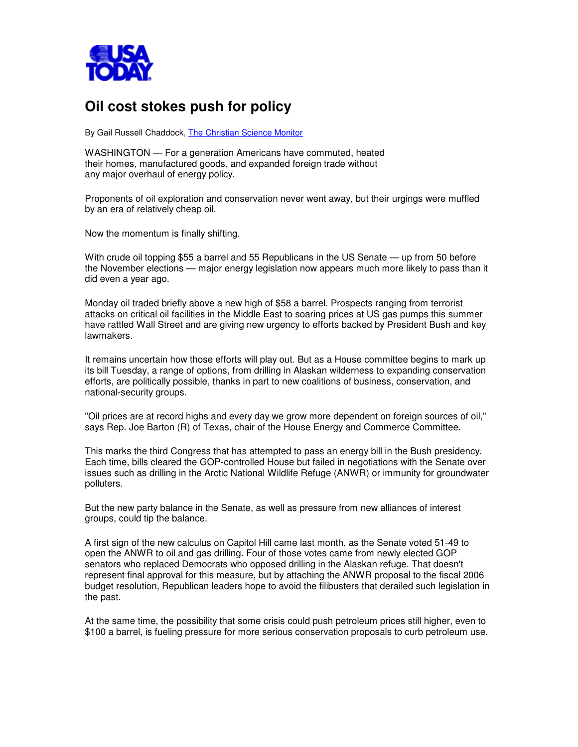

## **Oil cost stokes push for policy**

By Gail Russell Chaddock, The Christian Science Monitor

WASHINGTON — For a generation Americans have commuted, heated their homes, manufactured goods, and expanded foreign trade without any major overhaul of energy policy.

Proponents of oil exploration and conservation never went away, but their urgings were muffled by an era of relatively cheap oil.

Now the momentum is finally shifting.

With crude oil topping \$55 a barrel and 55 Republicans in the US Senate — up from 50 before the November elections — major energy legislation now appears much more likely to pass than it did even a year ago.

Monday oil traded briefly above a new high of \$58 a barrel. Prospects ranging from terrorist attacks on critical oil facilities in the Middle East to soaring prices at US gas pumps this summer have rattled Wall Street and are giving new urgency to efforts backed by President Bush and key lawmakers.

It remains uncertain how those efforts will play out. But as a House committee begins to mark up its bill Tuesday, a range of options, from drilling in Alaskan wilderness to expanding conservation efforts, are politically possible, thanks in part to new coalitions of business, conservation, and national-security groups.

"Oil prices are at record highs and every day we grow more dependent on foreign sources of oil," says Rep. Joe Barton (R) of Texas, chair of the House Energy and Commerce Committee.

This marks the third Congress that has attempted to pass an energy bill in the Bush presidency. Each time, bills cleared the GOP-controlled House but failed in negotiations with the Senate over issues such as drilling in the Arctic National Wildlife Refuge (ANWR) or immunity for groundwater polluters.

But the new party balance in the Senate, as well as pressure from new alliances of interest groups, could tip the balance.

A first sign of the new calculus on Capitol Hill came last month, as the Senate voted 51-49 to open the ANWR to oil and gas drilling. Four of those votes came from newly elected GOP senators who replaced Democrats who opposed drilling in the Alaskan refuge. That doesn't represent final approval for this measure, but by attaching the ANWR proposal to the fiscal 2006 budget resolution, Republican leaders hope to avoid the filibusters that derailed such legislation in the past.

At the same time, the possibility that some crisis could push petroleum prices still higher, even to \$100 a barrel, is fueling pressure for more serious conservation proposals to curb petroleum use.